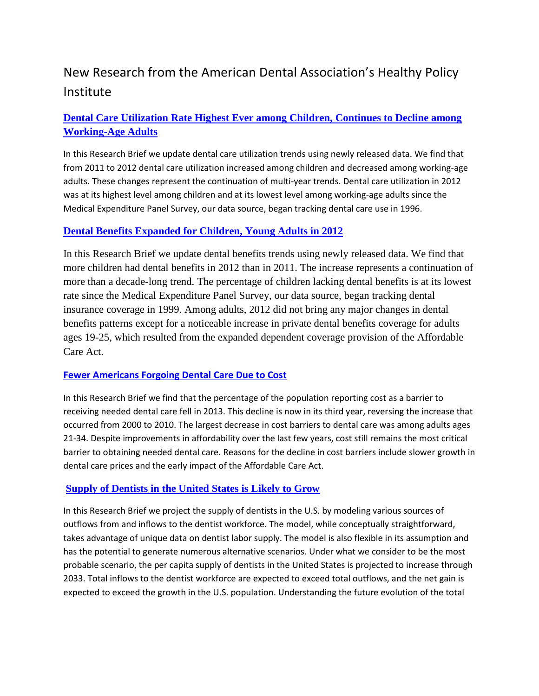# New Research from the American Dental Association's Healthy Policy Institute

## **[Dental Care Utilization Rate Highest Ever among Children, Continues to Decline among](http://www.ada.org/~/media/ADA/Science%20and%20Research/HPI/Files/HPIBrief_1014_4.ashx)  [Working-Age Adults](http://www.ada.org/~/media/ADA/Science%20and%20Research/HPI/Files/HPIBrief_1014_4.ashx)**

In this Research Brief we update dental care utilization trends using newly released data. We find that from 2011 to 2012 dental care utilization increased among children and decreased among working-age adults. These changes represent the continuation of multi-year trends. Dental care utilization in 2012 was at its highest level among children and at its lowest level among working-age adults since the Medical Expenditure Panel Survey, our data source, began tracking dental care use in 1996.

#### **[Dental Benefits Expanded for Children, Young Adults in 2012](http://www.ada.org/~/media/ADA/Science%20and%20Research/HPI/Files/HPIBrief_1014_5.ashx)**

In this Research Brief we update dental benefits trends using newly released data. We find that more children had dental benefits in 2012 than in 2011. The increase represents a continuation of more than a decade-long trend. The percentage of children lacking dental benefits is at its lowest rate since the Medical Expenditure Panel Survey, our data source, began tracking dental insurance coverage in 1999. Among adults, 2012 did not bring any major changes in dental benefits patterns except for a noticeable increase in private dental benefits coverage for adults ages 19-25, which resulted from the expanded dependent coverage provision of the Affordable Care Act.

#### **[Fewer Americans Forgoing Dental Care Due to Cost](http://www.ada.org/~/media/ADA/Science%20and%20Research/HPI/Files/HPIBrief_1014_6.ashx)**

In this Research Brief we find that the percentage of the population reporting cost as a barrier to receiving needed dental care fell in 2013. This decline is now in its third year, reversing the increase that occurred from 2000 to 2010. The largest decrease in cost barriers to dental care was among adults ages 21-34. Despite improvements in affordability over the last few years, cost still remains the most critical barrier to obtaining needed dental care. Reasons for the decline in cost barriers include slower growth in dental care prices and the early impact of the Affordable Care Act.

#### **[Supply of Dentists in the United States is Likely to Grow](http://www.ada.org/~/media/ADA/Science%20and%20Research/HPI/Files/HPIBrief_1014_1.ashx)**

In this Research Brief we project the supply of dentists in the U.S. by modeling various sources of outflows from and inflows to the dentist workforce. The model, while conceptually straightforward, takes advantage of unique data on dentist labor supply. The model is also flexible in its assumption and has the potential to generate numerous alternative scenarios. Under what we consider to be the most probable scenario, the per capita supply of dentists in the United States is projected to increase through 2033. Total inflows to the dentist workforce are expected to exceed total outflows, and the net gain is expected to exceed the growth in the U.S. population. Understanding the future evolution of the total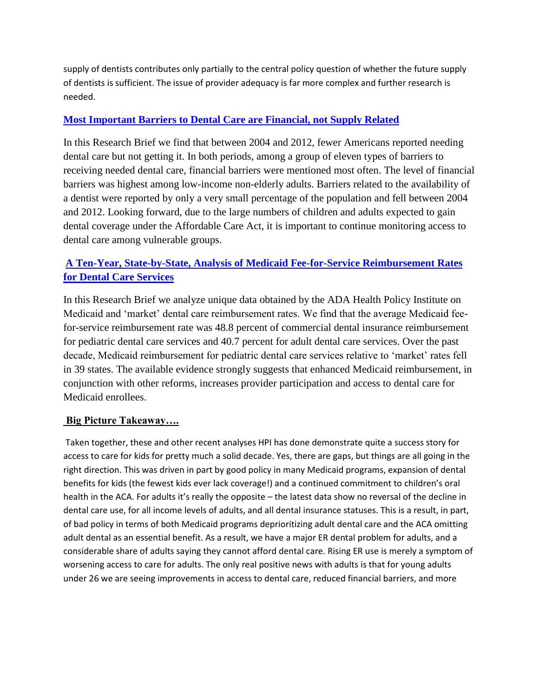supply of dentists contributes only partially to the central policy question of whether the future supply of dentists is sufficient. The issue of provider adequacy is far more complex and further research is needed.

#### **[Most Important Barriers to Dental Care are Financial, not Supply Related](http://www.ada.org/~/media/ADA/Science%20and%20Research/HPI/Files/HPIBrief_1014_2.ashx)**

In this Research Brief we find that between 2004 and 2012, fewer Americans reported needing dental care but not getting it. In both periods, among a group of eleven types of barriers to receiving needed dental care, financial barriers were mentioned most often. The level of financial barriers was highest among low-income non-elderly adults. Barriers related to the availability of a dentist were reported by only a very small percentage of the population and fell between 2004 and 2012. Looking forward, due to the large numbers of children and adults expected to gain dental coverage under the Affordable Care Act, it is important to continue monitoring access to dental care among vulnerable groups.

## **[A Ten-Year, State-by-State, Analysis of Medicaid Fee-for-Service Reimbursement Rates](http://www.ada.org/~/media/ADA/Science%20and%20Research/HPI/Files/HPIBrief_1014_3.ashx)  [for Dental Care Services](http://www.ada.org/~/media/ADA/Science%20and%20Research/HPI/Files/HPIBrief_1014_3.ashx)**

In this Research Brief we analyze unique data obtained by the ADA Health Policy Institute on Medicaid and 'market' dental care reimbursement rates. We find that the average Medicaid feefor-service reimbursement rate was 48.8 percent of commercial dental insurance reimbursement for pediatric dental care services and 40.7 percent for adult dental care services. Over the past decade, Medicaid reimbursement for pediatric dental care services relative to 'market' rates fell in 39 states. The available evidence strongly suggests that enhanced Medicaid reimbursement, in conjunction with other reforms, increases provider participation and access to dental care for Medicaid enrollees.

#### **Big Picture Takeaway….**

Taken together, these and other recent analyses HPI has done demonstrate quite a success story for access to care for kids for pretty much a solid decade. Yes, there are gaps, but things are all going in the right direction. This was driven in part by good policy in many Medicaid programs, expansion of dental benefits for kids (the fewest kids ever lack coverage!) and a continued commitment to children's oral health in the ACA. For adults it's really the opposite – the latest data show no reversal of the decline in dental care use, for all income levels of adults, and all dental insurance statuses. This is a result, in part, of bad policy in terms of both Medicaid programs deprioritizing adult dental care and the ACA omitting adult dental as an essential benefit. As a result, we have a major ER dental problem for adults, and a considerable share of adults saying they cannot afford dental care. Rising ER use is merely a symptom of worsening access to care for adults. The only real positive news with adults is that for young adults under 26 we are seeing improvements in access to dental care, reduced financial barriers, and more